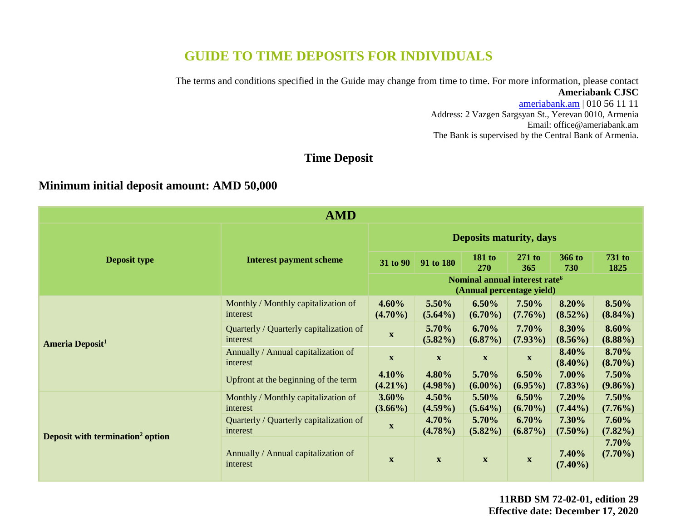# **GUIDE TO TIME DEPOSITS FOR INDIVIDUALS**

The terms and conditions specified in the Guide may change from time to time. For more information, please contact **Ameriabank CJSC**

> [ameriabank.am](https://ameriabank.am/default.aspx?lang=28) | 010 56 11 11 Address: 2 Vazgen Sargsyan St., Yerevan 0010, Armenia Email: <office@ameriabank.am> The Bank is supervised by the Central Bank of Armenia.

## **Time Deposit**

### **Minimum initial deposit amount: AMD 50,000**

| <b>AMD</b>                                   |                                                     |                                |                                                                        |                             |                           |                     |                       |
|----------------------------------------------|-----------------------------------------------------|--------------------------------|------------------------------------------------------------------------|-----------------------------|---------------------------|---------------------|-----------------------|
|                                              | <b>Interest payment scheme</b>                      | <b>Deposits maturity, days</b> |                                                                        |                             |                           |                     |                       |
| <b>Deposit type</b>                          |                                                     | 31 to 90                       | 91 to 180                                                              | <b>181 to</b><br><b>270</b> | 271 to<br>365             | 366 to<br>730       | <b>731 to</b><br>1825 |
|                                              |                                                     |                                | Nominal annual interest rate <sup>6</sup><br>(Annual percentage yield) |                             |                           |                     |                       |
| <b>Ameria Deposit<sup>1</sup></b>            | Monthly / Monthly capitalization of<br>interest     | 4.60%<br>$(4.70\%)$            | 5.50%<br>$(5.64\%)$                                                    | 6.50%<br>$(6.70\%)$         | 7.50%<br>$(7.76\%)$       | 8.20%<br>$(8.52\%)$ | 8.50%<br>$(8.84\%)$   |
|                                              | Quarterly / Quarterly capitalization of<br>interest | $\mathbf{X}$                   | 5.70%<br>$(5.82\%)$                                                    | 6.70%<br>$(6.87\%)$         | 7.70%<br>$(7.93\%)$       | 8.30%<br>$(8.56\%)$ | 8.60%<br>$(8.88\%)$   |
|                                              | Annually / Annual capitalization of<br>interest     | $\boldsymbol{\mathrm{X}}$      | $\boldsymbol{\mathrm{X}}$                                              | $\boldsymbol{\mathrm{X}}$   | $\mathbf{X}$              | 8.40%<br>$(8.40\%)$ | 8.70%<br>$(8.70\%)$   |
|                                              | Upfront at the beginning of the term                | 4.10%<br>$(4.21\%)$            | 4.80%<br>$(4.98\%)$                                                    | 5.70%<br>$(6.00\%)$         | $6.50\%$<br>$(6.95\%)$    | 7.00%<br>$(7.83\%)$ | 7.50%<br>$(9.86\%)$   |
| Deposit with termination <sup>2</sup> option | Monthly / Monthly capitalization of<br>interest     | $3.60\%$<br>$(3.66\%)$         | $4.50\%$<br>$(4.59\%)$                                                 | 5.50%<br>$(5.64\%)$         | $6.50\%$<br>$(6.70\%)$    | 7.20%<br>$(7.44\%)$ | 7.50%<br>$(7.76\%)$   |
|                                              | Quarterly / Quarterly capitalization of<br>interest | $\mathbf X$                    | 4.70%<br>$(4.78\%)$                                                    | 5.70%<br>$(5.82\%)$         | 6.70%<br>$(6.87\%)$       | 7.30%<br>$(7.50\%)$ | 7.60%<br>$(7.82\%)$   |
|                                              | Annually / Annual capitalization of<br>interest     | $\mathbf{X}$                   | $\boldsymbol{\mathrm{X}}$                                              | $\boldsymbol{\mathrm{X}}$   | $\boldsymbol{\mathrm{X}}$ | 7.40%<br>$(7.40\%)$ | 7.70%<br>$(7.70\%)$   |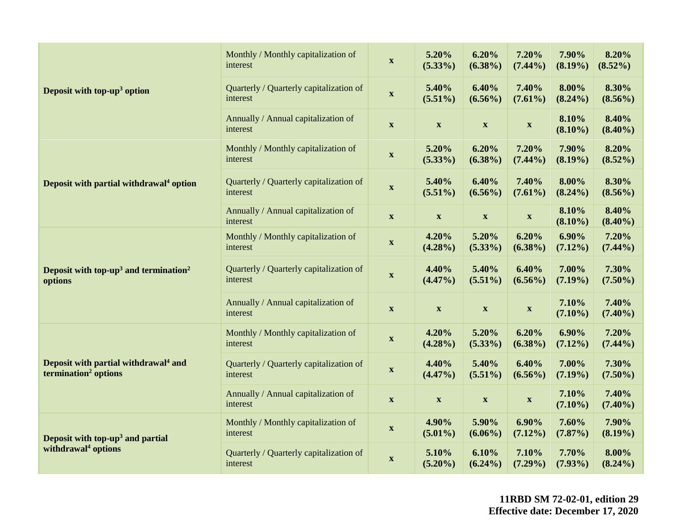|                                                                                      | Monthly / Monthly capitalization of<br>interest     | $\mathbf X$               | 5.20%<br>$(5.33\%)$                        | 6.20%<br>$(6.38\%)$       | 7.20%<br>$(7.44\%)$       | 7.90%<br>$(8.19\%)$    | 8.20%<br>$(8.52\%)$ |
|--------------------------------------------------------------------------------------|-----------------------------------------------------|---------------------------|--------------------------------------------|---------------------------|---------------------------|------------------------|---------------------|
| Deposit with top-up <sup>3</sup> option                                              | Quarterly / Quarterly capitalization of<br>interest | $\boldsymbol{\mathrm{X}}$ | 5.40%<br>$(5.51\%)$                        | 6.40%<br>$(6.56\%)$       | 7.40%<br>$(7.61\%)$       | 8.00%<br>$(8.24\%)$    | 8.30%<br>$(8.56\%)$ |
|                                                                                      | Annually / Annual capitalization of<br>interest     | $\mathbf X$               | $\mathbf X$                                | $\mathbf X$               | $\mathbf X$               | 8.10%<br>$(8.10\%)$    | 8.40%<br>$(8.40\%)$ |
|                                                                                      | Monthly / Monthly capitalization of<br>interest     | $\mathbf X$               | 5.20%<br>$(5.33\%)$                        | 6.20%<br>$(6.38\%)$       | 7.20%<br>$(7.44\%)$       | 7.90%<br>$(8.19\%)$    | 8.20%<br>$(8.52\%)$ |
| Deposit with partial withdrawal <sup>4</sup> option                                  | Quarterly / Quarterly capitalization of<br>interest | $\mathbf{X}$              | 5.40%<br>$(5.51\%)$                        | 6.40%<br>$(6.56\%)$       | 7.40%<br>$(7.61\%)$       | 8.00%<br>$(8.24\%)$    | 8.30%<br>$(8.56\%)$ |
|                                                                                      | Annually / Annual capitalization of<br>interest     | $\mathbf X$               | $\boldsymbol{\mathrm{X}}$                  | $\boldsymbol{\mathrm{X}}$ | $\mathbf X$               | 8.10%<br>$(8.10\%)$    | 8.40%<br>$(8.40\%)$ |
| Deposit with top-up <sup>3</sup> and termination <sup>2</sup><br>options             | Monthly / Monthly capitalization of<br>interest     | $\boldsymbol{\mathrm{X}}$ | 4.20%<br>$(4.28\%)$                        | 5.20%<br>$(5.33\%)$       | 6.20%<br>$(6.38\%)$       | $6.90\%$<br>$(7.12\%)$ | 7.20%<br>$(7.44\%)$ |
|                                                                                      | Quarterly / Quarterly capitalization of<br>interest | $\boldsymbol{\mathrm{X}}$ | 4.40%<br>$(4.47\%)$                        | 5.40%<br>$(5.51\%)$       | 6.40%<br>$(6.56\%)$       | 7.00%<br>$(7.19\%)$    | 7.30%<br>$(7.50\%)$ |
|                                                                                      | Annually / Annual capitalization of<br>interest     | $\mathbf{X}$              | $\boldsymbol{\mathrm{X}}$                  | $\boldsymbol{\mathrm{X}}$ | $\boldsymbol{\mathrm{X}}$ | 7.10%<br>$(7.10\%)$    | 7.40%<br>$(7.40\%)$ |
| Deposit with partial withdrawal <sup>4</sup> and<br>termination <sup>2</sup> options | Monthly / Monthly capitalization of<br>interest     | $\boldsymbol{\mathrm{X}}$ | 4.20%<br>$(4.28\%)$                        | 5.20%<br>$(5.33\%)$       | 6.20%<br>$(6.38\%)$       | $6.90\%$<br>$(7.12\%)$ | 7.20%<br>$(7.44\%)$ |
|                                                                                      | Quarterly / Quarterly capitalization of<br>interest | $\mathbf{X}$              | 4.40%<br>$(4.47\%)$                        | 5.40%<br>$(5.51\%)$       | 6.40%<br>$(6.56\%)$       | 7.00%<br>$(7.19\%)$    | 7.30%<br>$(7.50\%)$ |
|                                                                                      | Annually / Annual capitalization of<br>interest     | $\boldsymbol{\mathrm{X}}$ | $\boldsymbol{\mathrm{X}}$                  | $\boldsymbol{\mathrm{X}}$ | $\boldsymbol{\mathrm{X}}$ | 7.10%<br>$(7.10\%)$    | 7.40%<br>$(7.40\%)$ |
| Deposit with top-up <sup>3</sup> and partial                                         | Monthly / Monthly capitalization of<br>interest     | $\boldsymbol{\mathrm{X}}$ | 4.90%<br>$(5.01\%)$                        | 5.90%<br>$(6.06\%)$       | 6.90%<br>$(7.12\%)$       | 7.60%<br>$(7.87\%)$    | 7.90%<br>$(8.19\%)$ |
| withdrawal <sup>4</sup> options                                                      | Quarterly / Quarterly capitalization of<br>interest | $\mathbf X$               | 5.10%<br>6.10%<br>$(5.20\%)$<br>$(6.24\%)$ |                           | 7.10%<br>$(7.29\%)$       | 7.70%<br>$(7.93\%)$    | 8.00%<br>$(8.24\%)$ |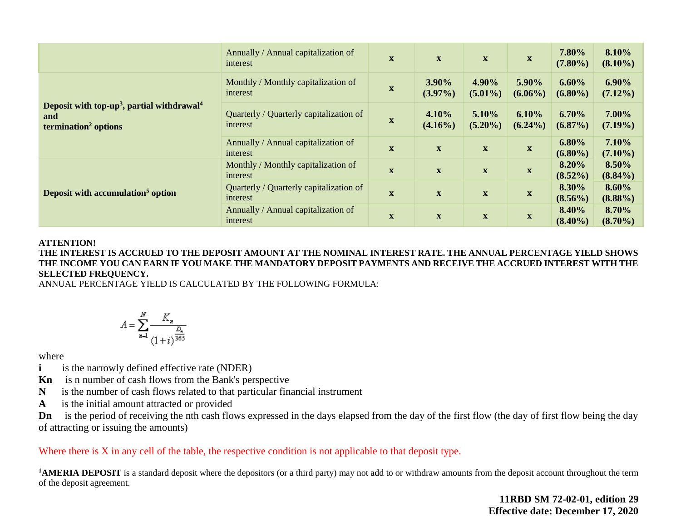|                                                                                                               | Annually / Annual capitalization of<br>interest     | $\mathbf{X}$ | $\mathbf X$         | $\boldsymbol{\mathrm{X}}$ | $\boldsymbol{\mathrm{X}}$ | 7.80%<br>$(7.80\%)$ | 8.10%<br>$(8.10\%)$    |
|---------------------------------------------------------------------------------------------------------------|-----------------------------------------------------|--------------|---------------------|---------------------------|---------------------------|---------------------|------------------------|
|                                                                                                               | Monthly / Monthly capitalization of<br>interest     | $\mathbf x$  | 3.90%<br>$(3.97\%)$ | 4.90%<br>$(5.01\%)$       | 5.90%<br>$(6.06\%)$       | 6.60%<br>$(6.80\%)$ | $6.90\%$<br>$(7.12\%)$ |
| Deposit with top-up <sup>3</sup> , partial withdrawal <sup>4</sup><br>and<br>termination <sup>2</sup> options | Quarterly / Quarterly capitalization of<br>interest | $\mathbf x$  | 4.10%<br>$(4.16\%)$ | 5.10%<br>$(5.20\%)$       | 6.10%<br>$(6.24\%)$       | 6.70%<br>$(6.87\%)$ | 7.00%<br>$(7.19\%)$    |
|                                                                                                               | Annually / Annual capitalization of<br>interest     | $\mathbf X$  | $\mathbf X$         | $\mathbf{X}$              | $\mathbf X$               | 6.80%<br>$(6.80\%)$ | 7.10%<br>$(7.10\%)$    |
| Deposit with accumulation <sup>5</sup> option                                                                 | Monthly / Monthly capitalization of<br>interest     | $\mathbf X$  | $\mathbf X$         | $\mathbf X$               | $\mathbf X$               | 8.20%<br>$(8.52\%)$ | 8.50%<br>$(8.84\%)$    |
|                                                                                                               | Quarterly / Quarterly capitalization of<br>interest | $\mathbf x$  | $\mathbf X$         | $\mathbf X$               | $\mathbf X$               | 8.30%<br>$(8.56\%)$ | 8.60%<br>$(8.88\%)$    |
|                                                                                                               | Annually / Annual capitalization of<br>interest     | $\mathbf X$  | $\mathbf X$         | $\boldsymbol{\mathrm{X}}$ | $\mathbf{X}$              | 8.40%<br>$(8.40\%)$ | 8.70%<br>$(8.70\%)$    |

#### **ATTENTION!**

**THE INTEREST IS ACCRUED TO THE DEPOSIT AMOUNT AT THE NOMINAL INTEREST RATE. THE ANNUAL PERCENTAGE YIELD SHOWS THE INCOME YOU CAN EARN IF YOU MAKE THE MANDATORY DEPOSIT PAYMENTS AND RECEIVE THE ACCRUED INTEREST WITH THE SELECTED FREQUENCY.** 

ANNUAL PERCENTAGE YIELD IS CALCULATED BY THE FOLLOWING FORMULA:

$$
A = \sum_{n=1}^{N} \frac{K_n}{\frac{D_n}{(1+i)^{\frac{D_n}{365}}}}
$$

where

- **i** is the narrowly defined effective rate (NDER)
- **Kn** is n number of cash flows from the Bank's perspective
- **N** is the number of cash flows related to that particular financial instrument
- **A** is the initial amount attracted or provided

**Dn** is the period of receiving the nth cash flows expressed in the days elapsed from the day of the first flow (the day of first flow being the day of attracting or issuing the amounts)

Where there is X in any cell of the table, the respective condition is not applicable to that deposit type.

<sup>1</sup>**AMERIA DEPOSIT** is a standard deposit where the depositors (or a third party) may not add to or withdraw amounts from the deposit account throughout the term of the deposit agreement.

> **11RBD SM 72-02-01, edition 29 Effective date: December 17, 2020**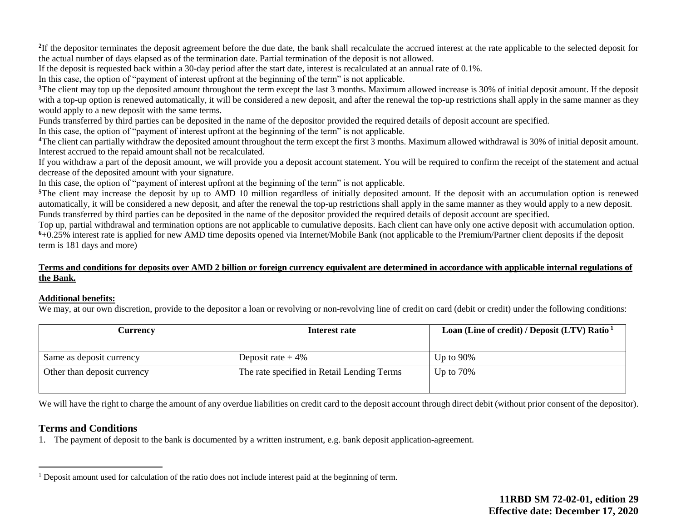<sup>2</sup>If the depositor terminates the deposit agreement before the due date, the bank shall recalculate the accrued interest at the rate applicable to the selected deposit for the actual number of days elapsed as of the termination date. Partial termination of the deposit is not allowed.

If the deposit is requested back within a 30-day period after the start date, interest is recalculated at an annual rate of 0.1%.

In this case, the option of "payment of interest upfront at the beginning of the term" is not applicable.

<sup>3</sup>The client may top up the deposited amount throughout the term except the last 3 months. Maximum allowed increase is 30% of initial deposit amount. If the deposit with a top-up option is renewed automatically, it will be considered a new deposit, and after the renewal the top-up restrictions shall apply in the same manner as they would apply to a new deposit with the same terms.

Funds transferred by third parties can be deposited in the name of the depositor provided the required details of deposit account are specified.

In this case, the option of "payment of interest upfront at the beginning of the term" is not applicable.

**<sup>4</sup>**The client can partially withdraw the deposited amount throughout the term except the first 3 months. Maximum allowed withdrawal is 30% of initial deposit amount. Interest accrued to the repaid amount shall not be recalculated.

If you withdraw a part of the deposit amount, we will provide you a deposit account statement. You will be required to confirm the receipt of the statement and actual decrease of the deposited amount with your signature.

In this case, the option of "payment of interest upfront at the beginning of the term" is not applicable.

<sup>5</sup>The client may increase the deposit by up to AMD 10 million regardless of initially deposited amount. If the deposit with an accumulation option is renewed automatically, it will be considered a new deposit, and after the renewal the top-up restrictions shall apply in the same manner as they would apply to a new deposit. Funds transferred by third parties can be deposited in the name of the depositor provided the required details of deposit account are specified.

Top up, partial withdrawal and termination options are not applicable to cumulative deposits. Each client can have only one active deposit with accumulation option. **<sup>6</sup>**+0.25% interest rate is applied for new AMD time deposits opened via Internet/Mobile Bank (not applicable to the Premium/Partner client deposits if the deposit term is 181 days and more)

#### **Terms and conditions for deposits over AMD 2 billion or foreign currency equivalent are determined in accordance with applicable internal regulations of the Bank.**

#### **Additional benefits:**

We may, at our own discretion, provide to the depositor a loan or revolving or non-revolving line of credit on card (debit or credit) under the following conditions:

| Currencv                    | Interest rate                              | Loan (Line of credit) / Deposit (LTV) Ratio $1$ |
|-----------------------------|--------------------------------------------|-------------------------------------------------|
|                             |                                            |                                                 |
| Same as deposit currency    | Deposit rate $+4\%$                        | Up to $90\%$                                    |
| Other than deposit currency | The rate specified in Retail Lending Terms | Up to $70\%$                                    |

We will have the right to charge the amount of any overdue liabilities on credit card to the deposit account through direct debit (without prior consent of the depositor).

### **Terms and Conditions**

 $\overline{a}$ 

1. The payment of deposit to the bank is documented by a written instrument, e.g. bank deposit application-agreement.

<sup>&</sup>lt;sup>1</sup> Deposit amount used for calculation of the ratio does not include interest paid at the beginning of term.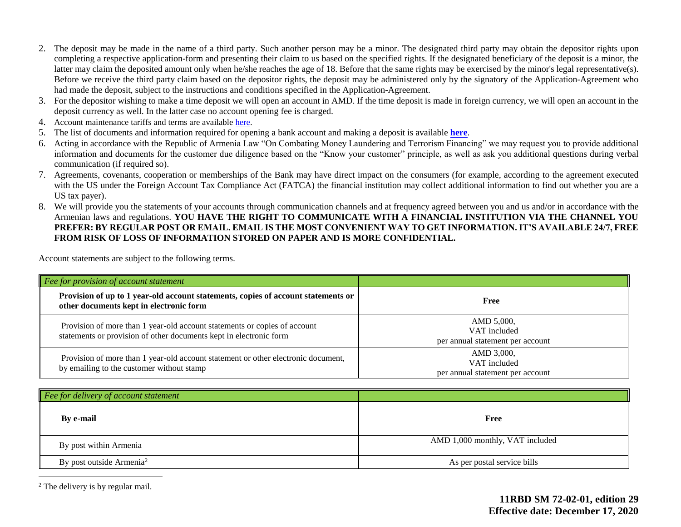- 2. The deposit may be made in the name of a third party. Such another person may be a minor. The designated third party may obtain the depositor rights upon completing a respective application-form and presenting their claim to us based on the specified rights. If the designated beneficiary of the deposit is a minor, the latter may claim the deposited amount only when he/she reaches the age of 18. Before that the same rights may be exercised by the minor's legal representative(s). Before we receive the third party claim based on the depositor rights, the deposit may be administered only by the signatory of the Application-Agreement who had made the deposit, subject to the instructions and conditions specified in the Application-Agreement.
- 3. For the depositor wishing to make a time deposit we will open an account in AMD. If the time deposit is made in foreign currency, we will open an account in the deposit currency as well. In the latter case no account opening fee is charged.
- 4. Account maintenance tariffs and terms are availabl[e here.](https://ameriabank.am/content.aspx?id=openning+and+service+of+bank+accounts+(retail)&page=99&itm=account&lang=28)
- 5. The list of documents and information required for opening a bank account and making a deposit is available **[here](https://ameriabank.am/userfiles/file/Account_openning_required_documents_2.pdf)**.
- 6. Acting in accordance with the Republic of Armenia Law "On Combating Money Laundering and Terrorism Financing" we may request you to provide additional information and documents for the customer due diligence based on the "Know your customer" principle, as well as ask you additional questions during verbal communication (if required so).
- 7. Agreements, covenants, cooperation or memberships of the Bank may have direct impact on the consumers (for example, according to the agreement executed with the US under the Foreign Account Tax Compliance Act (FATCA) the financial institution may collect additional information to find out whether you are a US tax payer).
- 8. We will provide you the statements of your accounts through communication channels and at frequency agreed between you and us and/or in accordance with the Armenian laws and regulations. **YOU HAVE THE RIGHT TO COMMUNICATE WITH A FINANCIAL INSTITUTION VIA THE CHANNEL YOU PREFER: BY REGULAR POST OR EMAIL. EMAIL IS THE MOST CONVENIENT WAY TO GET INFORMATION. IT'S AVAILABLE 24/7, FREE FROM RISK OF LOSS OF INFORMATION STORED ON PAPER AND IS MORE CONFIDENTIAL.**

Account statements are subject to the following terms.

| Fee for provision of account statement                                                                                                          |                                                                |
|-------------------------------------------------------------------------------------------------------------------------------------------------|----------------------------------------------------------------|
| Provision of up to 1 year-old account statements, copies of account statements or<br>other documents kept in electronic form                    | Free                                                           |
| Provision of more than 1 year-old account statements or copies of account<br>statements or provision of other documents kept in electronic form | AMD 5,000,<br>VAT included<br>per annual statement per account |
| Provision of more than 1 year-old account statement or other electronic document,<br>by emailing to the customer without stamp                  | AMD 3,000,<br>VAT included<br>per annual statement per account |
| $\vert$ Fee for delivery of account statement                                                                                                   |                                                                |
|                                                                                                                                                 |                                                                |

| By e-mail                            | Free                            |
|--------------------------------------|---------------------------------|
| By post within Armenia               | AMD 1,000 monthly, VAT included |
| By post outside Armenia <sup>2</sup> | As per postal service bills     |

<sup>2</sup> The delivery is by regular mail.

 $\overline{a}$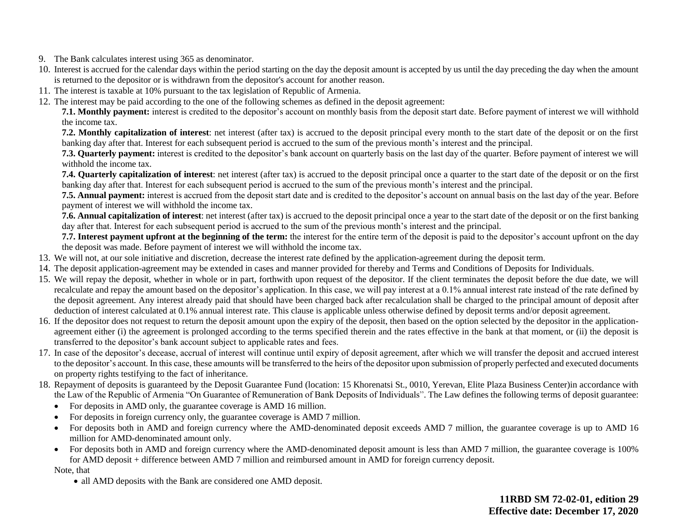- 9. The Bank calculates interest using 365 as denominator.
- 10. Interest is accrued for the calendar days within the period starting on the day the deposit amount is accepted by us until the day preceding the day when the amount is returned to the depositor or is withdrawn from the depositor's account for another reason.
- 11. The interest is taxable at 10% pursuant to the tax legislation of Republic of Armenia.
- 12. The interest may be paid according to the one of the following schemes as defined in the deposit agreement:

**7.1. Monthly payment:** interest is credited to the depositor's account on monthly basis from the deposit start date. Before payment of interest we will withhold the income tax.

**7.2. Monthly capitalization of interest**: net interest (after tax) is accrued to the deposit principal every month to the start date of the deposit or on the first banking day after that. Interest for each subsequent period is accrued to the sum of the previous month's interest and the principal.

**7.3. Quarterly payment:** interest is credited to the depositor's bank account on quarterly basis on the last day of the quarter. Before payment of interest we will withhold the income tax.

**7.4. Quarterly capitalization of interest**: net interest (after tax) is accrued to the deposit principal once a quarter to the start date of the deposit or on the first banking day after that. Interest for each subsequent period is accrued to the sum of the previous month's interest and the principal.

**7.5. Annual payment:** interest is accrued from the deposit start date and is credited to the depositor's account on annual basis on the last day of the year. Before payment of interest we will withhold the income tax.

**7.6. Annual capitalization of interest**: net interest (after tax) is accrued to the deposit principal once a year to the start date of the deposit or on the first banking day after that. Interest for each subsequent period is accrued to the sum of the previous month's interest and the principal.

**7.7. Interest payment upfront at the beginning of the term:** the interest for the entire term of the deposit is paid to the depositor's account upfront on the day the deposit was made. Before payment of interest we will withhold the income tax.

- 13. We will not, at our sole initiative and discretion, decrease the interest rate defined by the application-agreement during the deposit term.
- 14. The deposit application-agreement may be extended in cases and manner provided for thereby and Terms and Conditions of Deposits for Individuals.
- 15. We will repay the deposit, whether in whole or in part, forthwith upon request of the depositor. If the client terminates the deposit before the due date, we will recalculate and repay the amount based on the depositor's application. In this case, we will pay interest at a 0.1% annual interest rate instead of the rate defined by the deposit agreement. Any interest already paid that should have been charged back after recalculation shall be charged to the principal amount of deposit after deduction of interest calculated at 0.1% annual interest rate. This clause is applicable unless otherwise defined by deposit terms and/or deposit agreement.
- 16. If the depositor does not request to return the deposit amount upon the expiry of the deposit, then based on the option selected by the depositor in the applicationagreement either (i) the agreement is prolonged according to the terms specified therein and the rates effective in the bank at that moment, or (ii) the deposit is transferred to the depositor's bank account subject to applicable rates and fees.
- 17. In case of the depositor's decease, accrual of interest will continue until expiry of deposit agreement, after which we will transfer the deposit and accrued interest to the depositor's account. In this case, these amounts will be transferred to the heirs of the depositor upon submission of properly perfected and executed documents on property rights testifying to the fact of inheritance.
- 18. Repayment of deposits is guaranteed by the Deposit Guarantee Fund (location: 15 Khorenatsi St., 0010, Yerevan, Elite Plaza Business Center)in accordance with the Law of the Republic of Armenia "On Guarantee of Remuneration of Bank Deposits of Individuals". The Law defines the following terms of deposit guarantee:
	- For deposits in AMD only, the guarantee coverage is AMD 16 million.
	- For deposits in foreign currency only, the guarantee coverage is AMD 7 million.
	- For deposits both in AMD and foreign currency where the AMD-denominated deposit exceeds AMD 7 million, the guarantee coverage is up to AMD 16 million for AMD-denominated amount only.
	- For deposits both in AMD and foreign currency where the AMD-denominated deposit amount is less than AMD 7 million, the guarantee coverage is 100% for AMD deposit + difference between AMD 7 million and reimbursed amount in AMD for foreign currency deposit.

Note, that

• all AMD deposits with the Bank are considered one AMD deposit.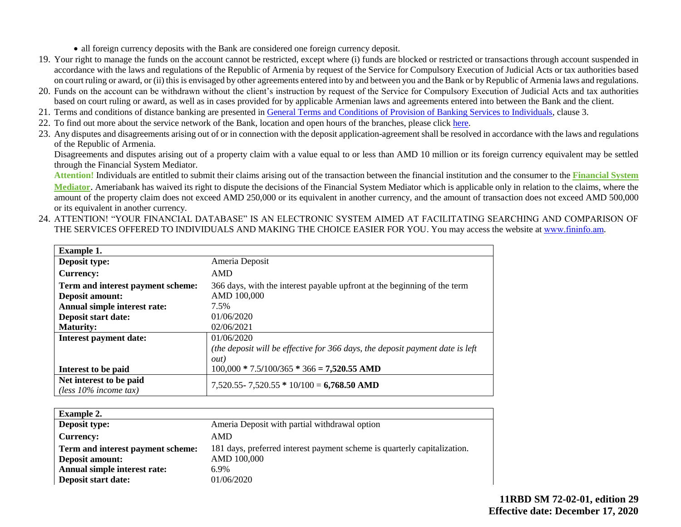• all foreign currency deposits with the Bank are considered one foreign currency deposit.

- 19. Your right to manage the funds on the account cannot be restricted, except where (i) funds are blocked or restricted or transactions through account suspended in accordance with the laws and regulations of the Republic of Armenia by request of the Service for Compulsory Execution of Judicial Acts or tax authorities based on court ruling or award, or (ii) this is envisaged by other agreements entered into by and between you and the Bank or by Republic of Armenia laws and regulations.
- 20. Funds on the account can be withdrawn without the client's instruction by request of the Service for Compulsory Execution of Judicial Acts and tax authorities based on court ruling or award, as well as in cases provided for by applicable Armenian laws and agreements entered into between the Bank and the client.
- 21. Terms and conditions of distance banking are presented in [General Terms and Conditions of Provision of Banking Services to Individuals,](https://ameriabank.am/content.aspx?id=openning+and+service+of+bank+accounts+(retail)&page=99&itm=account&lang=28) clause 3.
- 22. To find out more about the service network of the Bank, location and open hours of the branches, please clic[k here.](https://ameriabank.am/infrastructure.aspx?lang=28)
- 23. Any disputes and disagreements arising out of or in connection with the deposit application-agreement shall be resolved in accordance with the laws and regulations of the Republic of Armenia.

Disagreements and disputes arising out of a property claim with a value equal to or less than AMD 10 million or its foreign currency equivalent may be settled through the Financial System Mediator.

**Attention!** Individuals are entitled to submit their claims arising out of the transaction between the financial institution and the consumer to the **[Financial System](https://ameriabank.am/Page.aspx?id=423&lang=33)  [Mediator](https://ameriabank.am/Page.aspx?id=423&lang=33)**. Ameriabank has waived its right to dispute the decisions of the Financial System Mediator which is applicable only in relation to the claims, where the amount of the property claim does not exceed AMD 250,000 or its equivalent in another currency, and the amount of transaction does not exceed AMD 500,000 or its equivalent in another currency.

24. ATTENTION! "YOUR FINANCIAL DATABASE" IS AN ELECTRONIC SYSTEM AIMED AT FACILITATING SEARCHING AND COMPARISON OF THE SERVICES OFFERED TO INDIVIDUALS AND MAKING THE CHOICE EASIER FOR YOU. You may access the website at www.fininfo.am.

| <b>Example 1.</b>                 |                                                                               |
|-----------------------------------|-------------------------------------------------------------------------------|
| Deposit type:                     | Ameria Deposit                                                                |
| <b>Currency:</b>                  | <b>AMD</b>                                                                    |
| Term and interest payment scheme: | 366 days, with the interest payable upfront at the beginning of the term      |
| <b>Deposit amount:</b>            | AMD 100,000                                                                   |
| Annual simple interest rate:      | 7.5%                                                                          |
| Deposit start date:               | 01/06/2020                                                                    |
| <b>Maturity:</b>                  | 02/06/2021                                                                    |
| Interest payment date:            | 01/06/2020                                                                    |
|                                   | (the deposit will be effective for 366 days, the deposit payment date is left |
|                                   | <i>out</i> )                                                                  |
| Interest to be paid               | $100,000 * 7.5/100/365 * 366 = 7,520.55$ AMD                                  |
| Net interest to be paid           | 7,520.55 - 7,520.55 * 10/100 = 6,768.50 AMD                                   |
| (less $10\%$ income tax)          |                                                                               |

| <b>Example 2.</b>                 |                                                                          |
|-----------------------------------|--------------------------------------------------------------------------|
| <b>Deposit type:</b>              | Ameria Deposit with partial withdrawal option                            |
| <b>Currency:</b>                  | AMD                                                                      |
| Term and interest payment scheme: | 181 days, preferred interest payment scheme is quarterly capitalization. |
| Deposit amount:                   | AMD 100,000                                                              |
| Annual simple interest rate:      | $6.9\%$                                                                  |
| Deposit start date:               | 01/06/2020                                                               |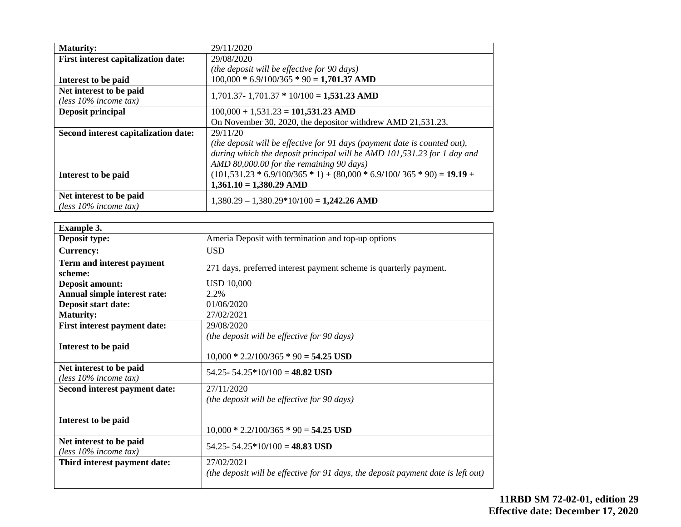| <b>Maturity:</b>                           | 29/11/2020                                                                |
|--------------------------------------------|---------------------------------------------------------------------------|
| <b>First interest capitalization date:</b> | 29/08/2020                                                                |
|                                            | (the deposit will be effective for 90 days)                               |
| Interest to be paid                        | $100,000 * 6.9/100/365 * 90 = 1,701.37$ AMD                               |
| Net interest to be paid                    | $1,701.37 - 1,701.37 * 10/100 = 1,531.23$ AMD                             |
| (less $10\%$ income tax)                   |                                                                           |
| Deposit principal                          | $100,000 + 1,531.23 = 101,531.23$ AMD                                     |
|                                            | On November 30, 2020, the depositor with drew AMD 21,531.23.              |
| Second interest capitalization date:       | 29/11/20                                                                  |
|                                            | (the deposit will be effective for 91 days (payment date is counted out), |
|                                            | during which the deposit principal will be AMD 101,531.23 for 1 day and   |
|                                            | AMD 80,000.00 for the remaining 90 days)                                  |
| Interest to be paid                        | $(101,531.23 * 6.9/100/365 * 1) + (80,000 * 6.9/100/365 * 90) = 19.19 +$  |
|                                            | $1,361.10 = 1,380.29$ AMD                                                 |
| Net interest to be paid                    |                                                                           |
| (less $10\%$ income tax)                   | $1,380.29 - 1,380.29*10/100 = 1,242.26$ AMD                               |

| <b>Example 3.</b>                                   |                                                                                   |
|-----------------------------------------------------|-----------------------------------------------------------------------------------|
| Deposit type:                                       | Ameria Deposit with termination and top-up options                                |
| <b>Currency:</b>                                    | <b>USD</b>                                                                        |
| Term and interest payment<br>scheme:                | 271 days, preferred interest payment scheme is quarterly payment.                 |
| <b>Deposit amount:</b>                              | <b>USD 10,000</b>                                                                 |
| Annual simple interest rate:                        | 2.2%                                                                              |
| Deposit start date:                                 | 01/06/2020                                                                        |
| <b>Maturity:</b>                                    | 27/02/2021                                                                        |
| First interest payment date:                        | 29/08/2020                                                                        |
|                                                     | (the deposit will be effective for 90 days)                                       |
| Interest to be paid                                 |                                                                                   |
|                                                     | $10,000 * 2.2/100/365 * 90 = 54.25$ USD                                           |
| Net interest to be paid<br>(less $10\%$ income tax) | $54.25 - 54.25 * 10/100 = 48.82$ USD                                              |
| Second interest payment date:                       | 27/11/2020                                                                        |
|                                                     | (the deposit will be effective for 90 days)                                       |
| Interest to be paid                                 | $10,000 * 2.2/100/365 * 90 = 54.25$ USD                                           |
| Net interest to be paid<br>(less $10\%$ income tax) | 54.25 - 54.25 * 10/100 = 48.83 USD                                                |
| Third interest payment date:                        | 27/02/2021                                                                        |
|                                                     | (the deposit will be effective for 91 days, the deposit payment date is left out) |
|                                                     |                                                                                   |